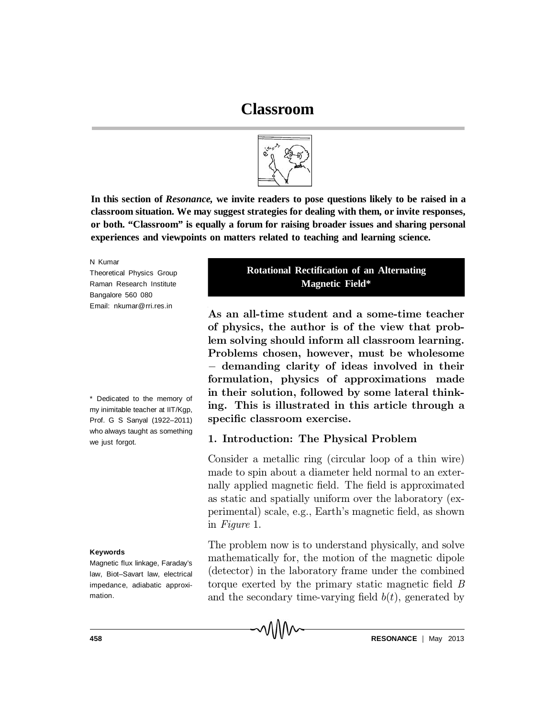

**In this section of** *Resonance,* **we invite readers to pose questions likely to be raised in a classroom situation. We may suggest strategies for dealing with them, or invite responses, or both. "Classroom" is equally a forum for raising broader issues and sharing personal experiences and viewpoints on matters related to teaching and learning science.**

N Kumar

Theoretical Physics Group Raman Research Institute Bangalore 560 080 Email: nkumar@rri.res.in

\* Dedicated to the memory of my inimitable teacher at IIT/Kgp, Prof. G S Sanyal (1922–2011) who always taught as something we just forgot.

#### **Keywords**

Magnetic flux linkage, Faraday's law, Biot–Savart law, electrical impedance, adiabatic approximation.

## **Rotational Rectification of an Alternating Magnetic Field\***

As an all-time student and a some-time teacher of physics, the author is of the view that problem solving should inform all classroom learning. Problems chosen, however, must be wholesome – demanding clarity of ideas involved in their formulation, physics of approximations made in their solution, followed by some lateral thinking. This is illustrated in this article through a specific classroom exercise.

### 1. Introduction: The Physical Problem

Consider a metallic ring (circular loop of a thin wire) made to spin about a diameter held normal to an externally applied magnetic field. The field is approximated as static and spatially uniform over the laboratory (experimental) scale, e.g., Earth's magnetic field, as shown in Figure 1.

The problem now is to understand physically, and solve mathematically for, the motion of the magnetic dipole (detector) in the laboratory frame under the combined torque exerted by the primary static magnetic field  $\tilde{B}$ and the secondary time-varying field  $b(t)$ , generated by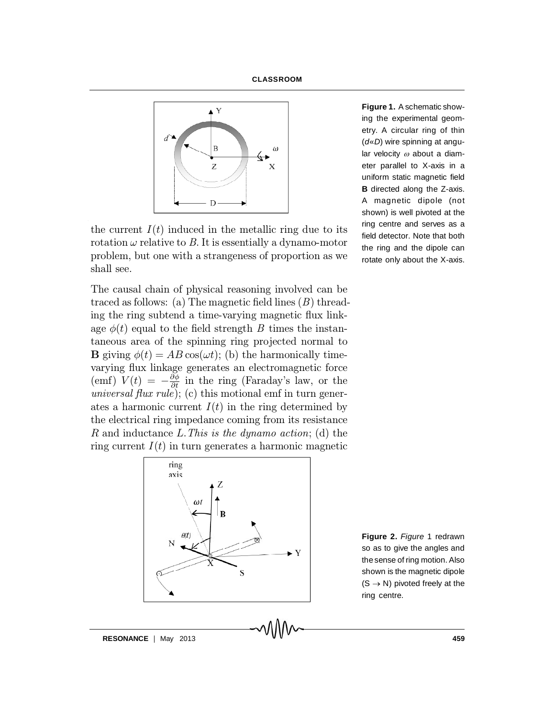



the current  $I(t)$  induced in the metallic ring due to its rotation  $\omega$  relative to B. It is essentially a dynamo-motor problem, but one with a strangeness of proportion as we shall see.

The causal chain of physical reasoning involved can be traced as follows: (a) The magnetic field lines  $(B)$  threading the ring subtend a time-varying magnetic flux linkage  $\phi(t)$  equal to the field strength B times the instantaneous area of the spinning ring projected normal to **B** giving  $\phi(t) = AB \cos(\omega t)$ ; (b) the harmonically timevarying flux linkage generates an electromagnetic force (emf)  $V(t) = -\frac{\partial \phi}{\partial t}$  in the ring (Faraday's law, or the universal flux rule); (c) this motional emf in turn generates a harmonic current  $I(t)$  in the ring determined by the electrical ring impedance coming from its resistance R and inductance  $L$ . This is the dynamo action; (d) the ring current  $I(t)$  in turn generates a harmonic magnetic

> ring axis  $\overline{\mathbf{V}}$

**Figure 1.** A schematic showing the experimental geometry. A circular ring of thin (*d*«*D*) wire spinning at angular velocity  $\omega$  about a diameter parallel to X-axis in a uniform static magnetic field **B** directed along the Z-axis. A magnetic dipole (not shown) is well pivoted at the ring centre and serves as a field detector. Note that both the ring and the dipole can rotate only about the X-axis.

**Figure 2.** *Figure* 1 redrawn so as to give the angles and the sense of ring motion. Also shown is the magnetic dipole  $(S \rightarrow N)$  pivoted freely at the ring centre.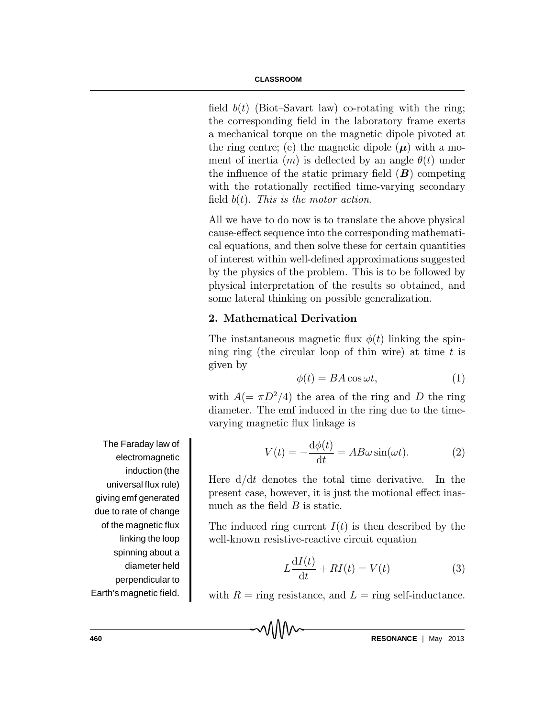field  $b(t)$  (Biot-Savart law) co-rotating with the ring; the corresponding field in the laboratory frame exerts a mechanical torque on the magnetic dipole pivoted at the ring centre; (e) the magnetic dipole  $(\mu)$  with a moment of inertia  $(m)$  is deflected by an angle  $\theta(t)$  under the influence of the static primary field  $(B)$  competing with the rotationally rectified time-varying secondary field  $b(t)$ . This is the motor action.

All we have to do now is to translate the above physical cause-effect sequence into the corresponding mathematical equations, and then solve these for certain quantities of interest within well-defined approximations suggested by the physics of the problem. This is to be followed by physical interpretation of the results so obtained, and some lateral thinking on possible generalization.

# 2. Mathematical Derivation

The instantaneous magnetic flux  $\phi(t)$  linking the spinning ring (the circular loop of thin wire) at time  $t$  is given by

$$
\phi(t) = BA \cos \omega t, \tag{1}
$$

with  $A(=\pi D^2/4)$  the area of the ring and D the ring diameter. The emf induced in the ring due to the timevarying magnetic flux linkage is

$$
V(t) = -\frac{d\phi(t)}{dt} = AB\omega\sin(\omega t). \tag{2}
$$

Here  $d/dt$  denotes the total time derivative. In the present case, however, it is just the motional effect inasmuch as the field  $B$  is static.

The induced ring current  $I(t)$  is then described by the well-known resistive-reactive circuit equation

$$
L\frac{\mathrm{d}I(t)}{\mathrm{d}t} + RI(t) = V(t) \tag{3}
$$

with  $R = \text{ring resistance}$ , and  $L = \text{ring self-inductance}$ .

MM

The Faraday law of electromagnetic induction (the universal flux rule) giving emf generated due to rate of change of the magnetic flux linking the loop spinning about a diameter held perpendicular to Earth's magnetic field.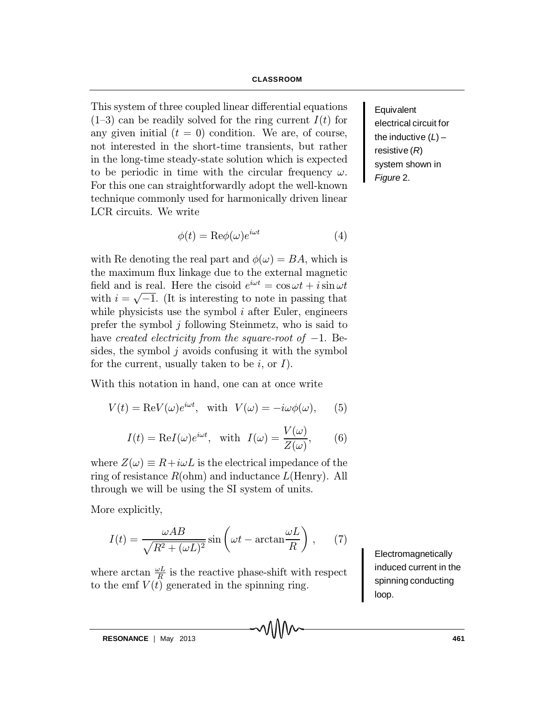This system of three coupled linear differential equations  $(1-3)$  can be readily solved for the ring current  $I(t)$  for any given initial  $(t = 0)$  condition. We are, of course, not interested in the short-time transients, but rather in the long-time steady-state solution which is expected to be periodic in time with the circular frequency  $\omega$ . For this one can straightforwardly adopt the well-known technique commonly used for harmonically driven linear LCR circuits. We write

$$
\phi(t) = \text{Re}\phi(\omega)e^{i\omega t} \tag{4}
$$

with Re denoting the real part and  $\phi(\omega) = BA$ , which is the maximum flux linkage due to the external magnetic field and is real. Here the cisoid  $e^{i\omega t} = \cos \omega t + i \sin \omega t$ with  $i = \sqrt{-1}$ . (It is interesting to note in passing that while physicists use the symbol  $i$  after Euler, engineers prefer the symbol  $j$  following Steinmetz, who is said to have created electricity from the square-root of  $-1$ . Besides, the symbol  $i$  avoids confusing it with the symbol for the current, usually taken to be i, or  $I$ ).

With this notation in hand, one can at once write

$$
V(t) = \text{Re}V(\omega)e^{i\omega t}, \text{ with } V(\omega) = -i\omega\phi(\omega), \qquad (5)
$$

$$
I(t) = \text{Re}I(\omega)e^{i\omega t}, \text{ with } I(\omega) = \frac{V(\omega)}{Z(\omega)}, \qquad (6)
$$

where  $Z(\omega) \equiv R + i\omega L$  is the electrical impedance of the ring of resistance  $R(\text{ohm})$  and inductance  $L(\text{Henry})$ . All through we will be using the SI system of units.

More explicitly,

$$
I(t) = \frac{\omega AB}{\sqrt{R^2 + (\omega L)^2}} \sin\left(\omega t - \arctan\frac{\omega L}{R}\right),\qquad(7)
$$

where arctan  $\frac{\omega L}{R}$  is the reactive phase-shift with respect to the emf  $V(t)$  generated in the spinning ring.

Electromagnetically induced current in the spinning conducting loop.

Equivalent electrical circuit for the inductive (*L*) – resistive (*R*) system shown in *Figure* 2.

**RESONANCE** | May 2013 **161**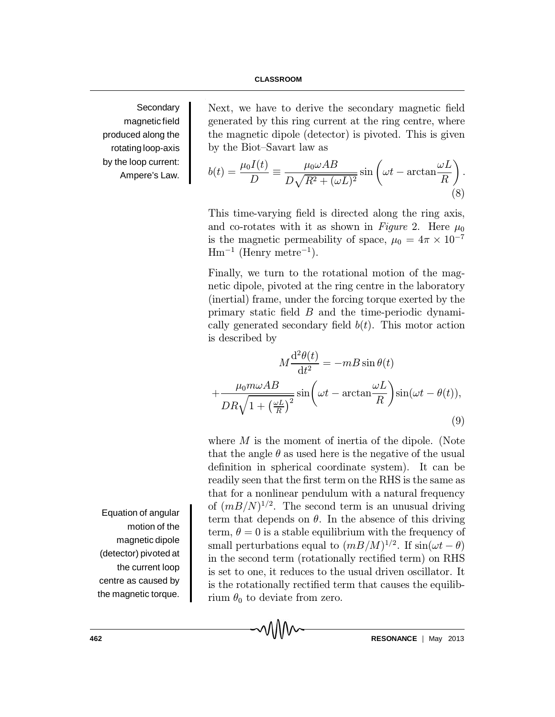#### **CLASSROOM**

**Secondary** magnetic field produced along the rotating loop-axis by the loop current: Ampere's Law.

Next, we have to derive the secondary magnetic field generated by this ring current at the ring centre, where the magnetic dipole (detector) is pivoted. This is given by the Biot-Savart law as

$$
b(t) = \frac{\mu_0 I(t)}{D} \equiv \frac{\mu_0 \omega AB}{D\sqrt{R^2 + (\omega L)^2}} \sin\left(\omega t - \arctan\frac{\omega L}{R}\right).
$$
\n(8)

This time-varying field is directed along the ring axis, and co-rotates with it as shown in Figure 2. Here  $\mu_0$ is the magnetic permeability of space,  $\mu_0 = 4\pi \times 10^{-7}$  $\rm{Hm^{-1}}$  (Henry metre<sup>-1</sup>).

Finally, we turn to the rotational motion of the magnetic dipole, pivoted at the ring centre in the laboratory (inertial) frame, under the forcing torque exerted by the primary static field  $B$  and the time-periodic dynamically generated secondary field  $b(t)$ . This motor action is described by

$$
M\frac{\mathrm{d}^2\theta(t)}{\mathrm{d}t^2} = -mB\sin\theta(t)
$$

$$
+\frac{\mu_0 m \omega AB}{DR\sqrt{1 + \left(\frac{\omega L}{R}\right)^2}}\sin\left(\omega t - \arctan\frac{\omega L}{R}\right)\sin(\omega t - \theta(t)),\tag{9}
$$

where  $M$  is the moment of inertia of the dipole. (Note that the angle  $\theta$  as used here is the negative of the usual definition in spherical coordinate system). It can be readily seen that the first term on the RHS is the same as that for a nonlinear pendulum with a natural frequency of  $(mB/N)^{1/2}$ . The second term is an unusual driving term that depends on  $\theta$ . In the absence of this driving term,  $\theta = 0$  is a stable equilibrium with the frequency of small perturbations equal to  $(mB/M)^{1/2}$ . If  $sin(\omega t - \theta)$ in the second term (rotationally rectified term) on RHS is set to one, it reduces to the usual driven oscillator. It is the rotationally rectified term that causes the equilibrium  $\theta_0$  to deviate from zero.

Equation of angular motion of the magnetic dipole (detector) pivoted at the current loop centre as caused by the magnetic torque.

**462 RESONANCE** | May 2013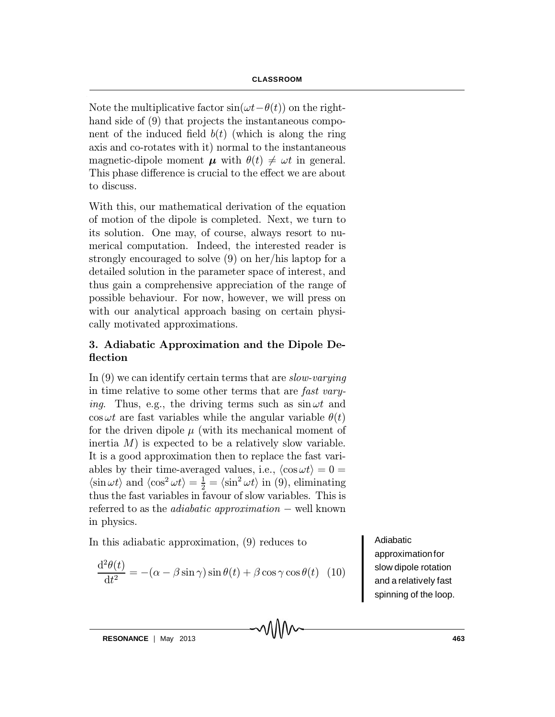Note the multiplicative factor  $sin(\omega t - \theta(t))$  on the righthand side of  $(9)$  that projects the instantaneous component of the induced field  $b(t)$  (which is along the ring axis and co-rotates with it) normal to the instantaneous magnetic-dipole moment  $\mu$  with  $\theta(t) \neq \omega t$  in general. This phase difference is crucial to the effect we are about to discuss.

With this, our mathematical derivation of the equation of motion of the dipole is completed. Next, we turn to its solution. One may, of course, always resort to numerical computation. Indeed, the interested reader is strongly encouraged to solve (9) on her/his laptop for a detailed solution in the parameter space of interest, and thus gain a comprehensive appreciation of the range of possible behaviour. For now, however, we will press on with our analytical approach basing on certain physically motivated approximations.

## 3. Adiabatic Approximation and the Dipole De flection

In (9) we can identify certain terms that are *slow-varying* in time relative to some other terms that are fast vary*ing.* Thus, e.g., the driving terms such as  $\sin \omega t$  and  $\cos \omega t$  are fast variables while the angular variable  $\theta(t)$ for the driven dipole  $\mu$  (with its mechanical moment of inertia  $M$ ) is expected to be a relatively slow variable. It is a good approximation then to replace the fast variables by their time-averaged values, i.e.,  $\langle \cos \omega t \rangle = 0 =$  $\langle \sin \omega t \rangle$  and  $\langle \cos^2 \omega t \rangle = \frac{1}{2} = \langle \sin^2 \omega t \rangle$  in (9), eliminating thus the fast variables in favour of slow variables. This is referred to as the *adiabatic approximation*  $-$  well known in physics.

In this adiabatic approximation, (9) reduces to

$$
\frac{\mathrm{d}^2\theta(t)}{\mathrm{d}t^2} = -(\alpha - \beta\sin\gamma)\sin\theta(t) + \beta\cos\gamma\cos\theta(t) \tag{10}
$$

Adiabatic approximationfor slow dipole rotation and a relatively fast spinning of the loop.

**RESONANCE** | May 2013 **163**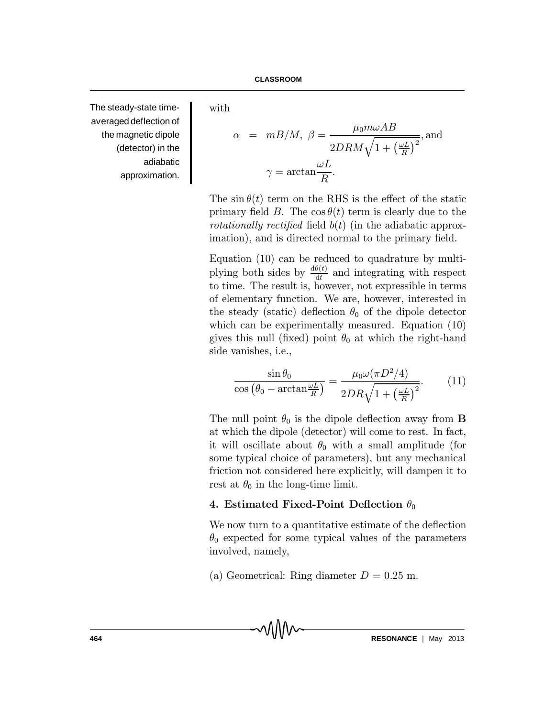The steady-state timeaveraged deflection of the magnetic dipole (detector) in the adiabatic approximation.

with

$$
\alpha = mB/M, \ \beta = \frac{\mu_0 m \omega AB}{2DRM\sqrt{1 + \left(\frac{\omega L}{R}\right)^2}}, \text{and}
$$

$$
\gamma = \arctan \frac{\omega L}{R}.
$$

The sin  $\theta(t)$  term on the RHS is the effect of the static primary field B. The  $\cos \theta(t)$  term is clearly due to the rotationally rectified field  $b(t)$  (in the adiabatic approximation), and is directed normal to the primary field.

Equation (10) can be reduced to quadrature by multiplying both sides by  $\frac{d\theta(t)}{dt}$  and integrating with respect to time. The result is, however, not expressible in terms of elementary function. We are, however, interested in the steady (static) deflection  $\theta_0$  of the dipole detector which can be experimentally measured. Equation (10) gives this null (fixed) point  $\theta_0$  at which the right-hand side vanishes, i.e.,

$$
\frac{\sin \theta_0}{\cos \left(\theta_0 - \arctan \frac{\omega L}{R}\right)} = \frac{\mu_0 \omega (\pi D^2/4)}{2DR\sqrt{1 + \left(\frac{\omega L}{R}\right)^2}}.\tag{11}
$$

The null point  $\theta_0$  is the dipole deflection away from **B** at which the dipole (detector) will come to rest. In fact, it will oscillate about  $\theta_0$  with a small amplitude (for some typical choice of parameters), but any mechanical friction not considered here explicitly, will dampen it to rest at  $\theta_0$  in the long-time limit.

### 4. Estimated Fixed-Point Deflection  $\theta_0$

We now turn to a quantitative estimate of the deflection  $\theta_0$  expected for some typical values of the parameters involved, namely,

(a) Geometrical: Ring diameter  $D = 0.25$  m.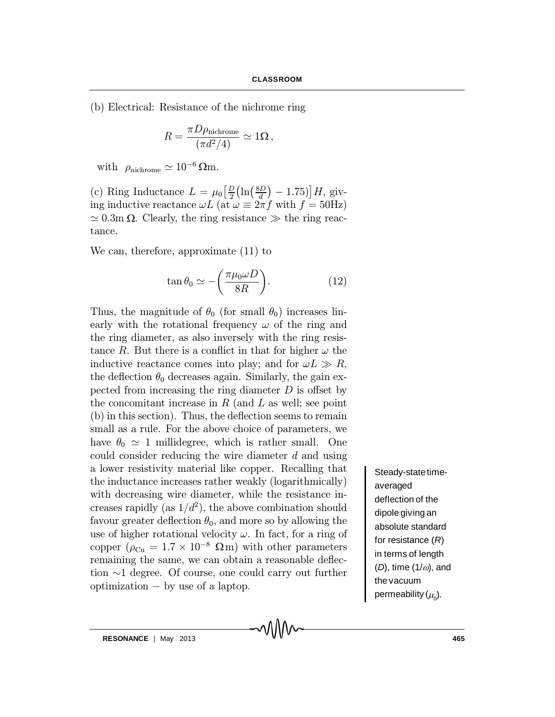(b) Electrical: Resistance of the nichrome ring

$$
R = \frac{\pi D \rho_{\rm nichrome}}{(\pi d^2/4)} \simeq 1 \Omega \,,
$$

with  $\rho_{\text{nichrome}} \simeq 10^{-6} \,\Omega \text{m}$ .

(c) Ring Inductance  $L = \mu_0 \left[ \frac{D}{2} \left( \ln \left( \frac{8D}{d} \right) - 1.75 \right) \right] H$ , giving inductive reactance  $\omega L$  (at  $\omega \equiv 2\pi f$  with  $f = 50$ Hz)  $\simeq 0.3$ m  $\Omega$ . Clearly, the ring resistance  $\gg$  the ring reactance.

We can, therefore, approximate (11) to

$$
\tan \theta_0 \simeq -\left(\frac{\pi \mu_0 \omega D}{8R}\right). \tag{12}
$$

Thus, the magnitude of  $\theta_0$  (for small  $\theta_0$ ) increases linearly with the rotational frequency  $\omega$  of the ring and the ring diameter, as also inversely with the ring resistance R. But there is a conflict in that for higher  $\omega$  the inductive reactance comes into play; and for  $\omega L \gg R$ , the deflection  $\theta_0$  decreases again. Similarly, the gain expected from increasing the ring diameter  $D$  is offset by the concomitant increase in  $R$  (and  $L$  as well; see point  $(b)$  in this section). Thus, the deflection seems to remain small as a rule. For the above choice of parameters, we have  $\theta_0 \simeq 1$  millidegree, which is rather small. One could consider reducing the wire diameter d and using a lower resistivity material like copper. Recalling that the inductance increases rather weakly (logarithmically) with decreasing wire diameter, while the resistance increases rapidly (as  $1/d^2$ ), the above combination should favour greater deflection  $\theta_0$ , and more so by allowing the use of higher rotational velocity  $\omega$ . In fact, for a ring of copper  $(\rho_{\text{Cu}} = 1.7 \times 10^{-8} \Omega \text{m})$  with other parameters remaining the same, we can obtain a reasonable deflection  $\sim$ 1 degree. Of course, one could carry out further optimization  $-$  by use of a laptop.

Steady-state timeaveraged deflection of the dipole giving an absolute standard for resistance (*R*) in terms of length  $(D)$ , time  $(1/\omega)$ , and the vacuum permeability ( $\mu_{\text{o}}$ ).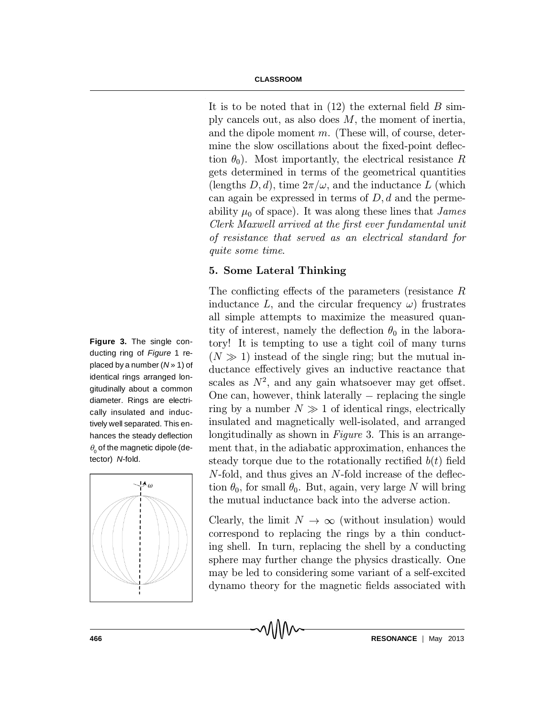It is to be noted that in  $(12)$  the external field B simply cancels out, as also does  $M$ , the moment of inertia, and the dipole moment  $m$ . (These will, of course, determine the slow oscillations about the fixed-point deflection  $\theta_0$ ). Most importantly, the electrical resistance R gets determined in terms of the geometrical quantities (lengths  $D, d$ ), time  $2\pi/\omega$ , and the inductance L (which can again be expressed in terms of  $D, d$  and the permeability  $\mu_0$  of space). It was along these lines that *James* Clerk Maxwell arrived at the first ever fundamental unit of resistance that served as an electrical standard for quite some time.

### 5. Some Lateral Thinking

The conflicting effects of the parameters (resistance  $R$ inductance L, and the circular frequency  $\omega$ ) frustrates all simple attempts to maximize the measured quantity of interest, namely the deflection  $\theta_0$  in the laboratory! It is tempting to use a tight coil of many turns  $(N \gg 1)$  instead of the single ring; but the mutual inductance effectively gives an inductive reactance that scales as  $N^2$ , and any gain whatsoever may get offset. One can, however, think laterally  $-$  replacing the single ring by a number  $N \gg 1$  of identical rings, electrically insulated and magnetically well-isolated, and arranged longitudinally as shown in Figure 3. This is an arrangement that, in the adiabatic approximation, enhances the steady torque due to the rotationally rectified  $b(t)$  field  $N$ -fold, and thus gives an  $N$ -fold increase of the deflection  $\theta_0$ , for small  $\theta_0$ . But, again, very large N will bring the mutual inductance back into the adverse action.

Clearly, the limit  $N \to \infty$  (without insulation) would correspond to replacing the rings by a thin conducting shell. In turn, replacing the shell by a conducting sphere may further change the physics drastically. One may be led to considering some variant of a self-excited dynamo theory for the magnetic fields associated with

**Figure 3.** The single conducting ring of *Figure* 1 replaced by a number (*N* » 1) of identical rings arranged longitudinally about a common diameter. Rings are electrically insulated and inductively well separated. This enhances the steady deflection  $\theta$  of the magnetic dipole (detector) *N*-fold.